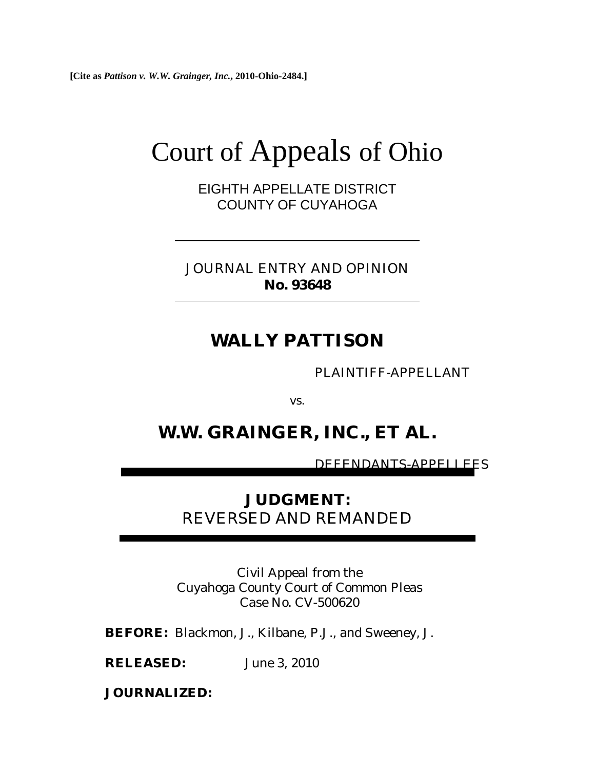**[Cite as** *Pattison v. W.W. Grainger, Inc.***, 2010-Ohio-2484.]**

# Court of Appeals of Ohio

EIGHTH APPELLATE DISTRICT COUNTY OF CUYAHOGA

JOURNAL ENTRY AND OPINION **No. 93648** 

# **WALLY PATTISON**

PLAINTIFF-APPELLANT

vs.

# **W.W. GRAINGER, INC., ET AL.**

DEFENDANTS-APPELLEES

# **JUDGMENT:**  REVERSED AND REMANDED

Civil Appeal from the Cuyahoga County Court of Common Pleas Case No. CV-500620

**BEFORE:** Blackmon, J., Kilbane, P.J., and Sweeney, J.

**RELEASED:** June 3, 2010

**JOURNALIZED:**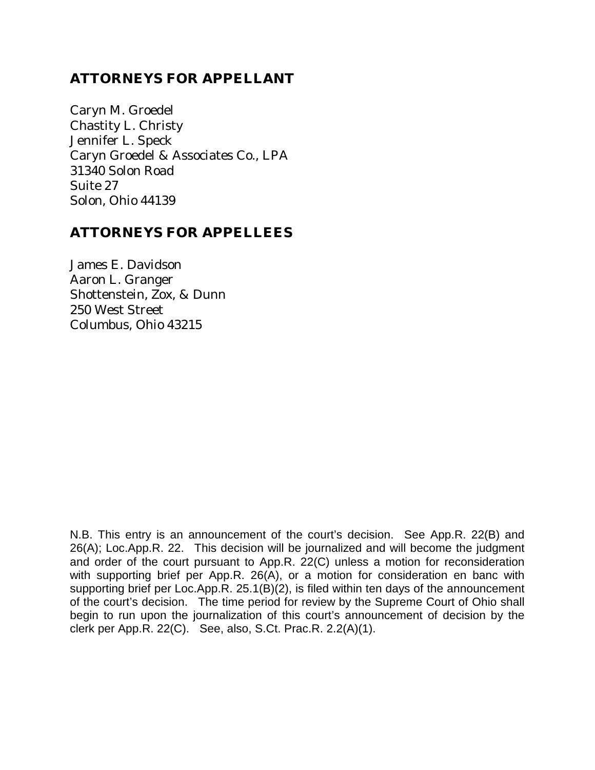## **ATTORNEYS FOR APPELLANT**

Caryn M. Groedel Chastity L. Christy Jennifer L. Speck Caryn Groedel & Associates Co., LPA 31340 Solon Road Suite 27 Solon, Ohio 44139

## **ATTORNEYS FOR APPELLEES**

James E. Davidson Aaron L. Granger Shottenstein, Zox, & Dunn 250 West Street Columbus, Ohio 43215

N.B. This entry is an announcement of the court's decision. See App.R. 22(B) and 26(A); Loc.App.R. 22. This decision will be journalized and will become the judgment and order of the court pursuant to App.R. 22(C) unless a motion for reconsideration with supporting brief per App.R. 26(A), or a motion for consideration en banc with supporting brief per Loc.App.R. 25.1(B)(2), is filed within ten days of the announcement of the court's decision. The time period for review by the Supreme Court of Ohio shall begin to run upon the journalization of this court's announcement of decision by the clerk per App.R. 22(C). See, also, S.Ct. Prac.R. 2.2(A)(1).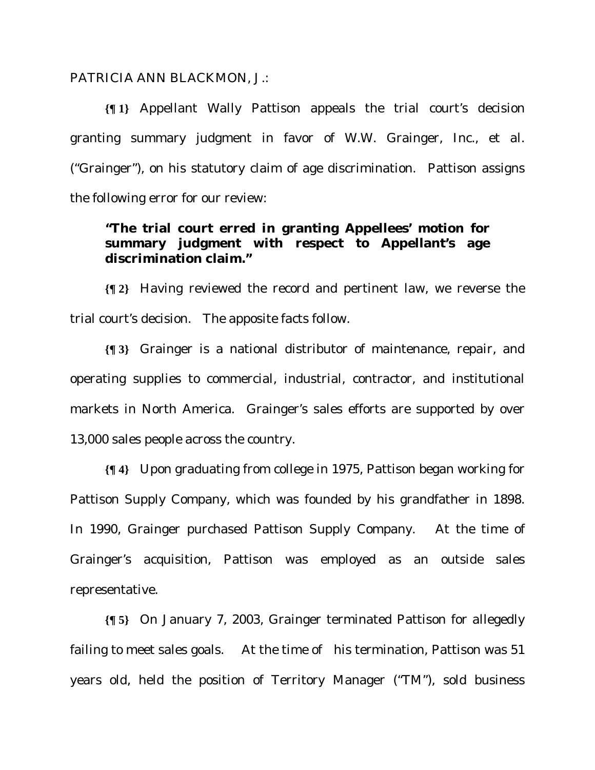#### PATRICIA ANN BLACKMON, J.:

**{¶ 1}** Appellant Wally Pattison appeals the trial court's decision granting summary judgment in favor of W.W. Grainger, Inc., et al. ("Grainger"), on his statutory claim of age discrimination. Pattison assigns the following error for our review:

### **"The trial court erred in granting Appellees' motion for summary judgment with respect to Appellant's age discrimination claim."**

**{¶ 2}** Having reviewed the record and pertinent law, we reverse the trial court's decision. The apposite facts follow.

**{¶ 3}** Grainger is a national distributor of maintenance, repair, and operating supplies to commercial, industrial, contractor, and institutional markets in North America. Grainger's sales efforts are supported by over 13,000 sales people across the country.

**{¶ 4}** Upon graduating from college in 1975, Pattison began working for Pattison Supply Company, which was founded by his grandfather in 1898. In 1990, Grainger purchased Pattison Supply Company. At the time of Grainger's acquisition, Pattison was employed as an outside sales representative.

**{¶ 5}** On January 7, 2003, Grainger terminated Pattison for allegedly failing to meet sales goals. At the time of his termination, Pattison was 51 years old, held the position of Territory Manager ("TM"), sold business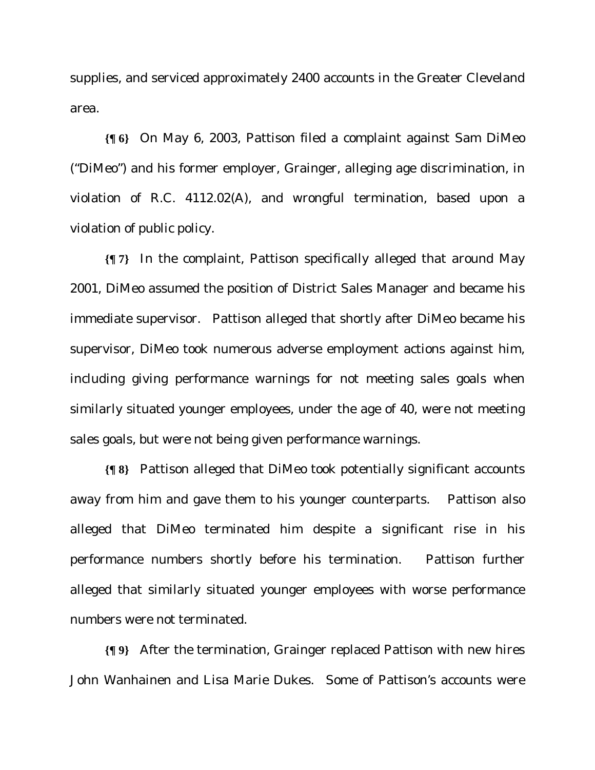supplies, and serviced approximately 2400 accounts in the Greater Cleveland area.

**{¶ 6}** On May 6, 2003, Pattison filed a complaint against Sam DiMeo ("DiMeo") and his former employer, Grainger, alleging age discrimination, in violation of R.C. 4112.02(A), and wrongful termination, based upon a violation of public policy.

**{¶ 7}** In the complaint, Pattison specifically alleged that around May 2001, DiMeo assumed the position of District Sales Manager and became his immediate supervisor. Pattison alleged that shortly after DiMeo became his supervisor, DiMeo took numerous adverse employment actions against him, including giving performance warnings for not meeting sales goals when similarly situated younger employees, under the age of 40, were not meeting sales goals, but were not being given performance warnings.

**{¶ 8}** Pattison alleged that DiMeo took potentially significant accounts away from him and gave them to his younger counterparts. Pattison also alleged that DiMeo terminated him despite a significant rise in his performance numbers shortly before his termination. Pattison further alleged that similarly situated younger employees with worse performance numbers were not terminated.

**{¶ 9}** After the termination, Grainger replaced Pattison with new hires John Wanhainen and Lisa Marie Dukes. Some of Pattison's accounts were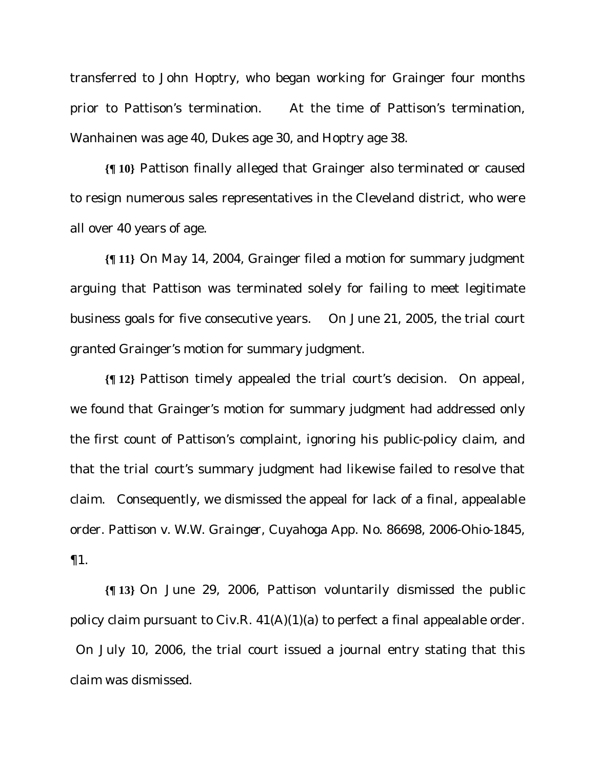transferred to John Hoptry, who began working for Grainger four months prior to Pattison's termination. At the time of Pattison's termination, Wanhainen was age 40, Dukes age 30, and Hoptry age 38.

**{¶ 10}** Pattison finally alleged that Grainger also terminated or caused to resign numerous sales representatives in the Cleveland district, who were all over 40 years of age.

**{¶ 11}** On May 14, 2004, Grainger filed a motion for summary judgment arguing that Pattison was terminated solely for failing to meet legitimate business goals for five consecutive years. On June 21, 2005, the trial court granted Grainger's motion for summary judgment.

**{¶ 12}** Pattison timely appealed the trial court's decision. On appeal, we found that Grainger's motion for summary judgment had addressed only the first count of Pattison's complaint, ignoring his public-policy claim, and that the trial court's summary judgment had likewise failed to resolve that claim. Consequently, we dismissed the appeal for lack of a final, appealable order. *Pattison v. W.W. Grainger*, Cuyahoga App. No. 86698, 2006-Ohio-1845, ¶1.

**{¶ 13}** On June 29, 2006, Pattison voluntarily dismissed the public policy claim pursuant to Civ.R.  $41(A)(1)(a)$  to perfect a final appealable order. On July 10, 2006, the trial court issued a journal entry stating that this claim was dismissed.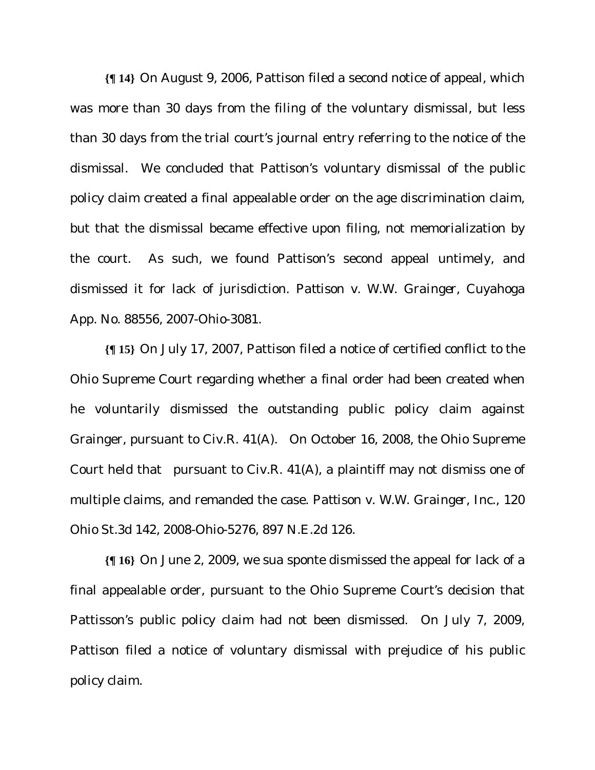**{¶ 14}** On August 9, 2006, Pattison filed a second notice of appeal, which was more than 30 days from the filing of the voluntary dismissal, but less than 30 days from the trial court's journal entry referring to the notice of the dismissal. We concluded that Pattison's voluntary dismissal of the public policy claim created a final appealable order on the age discrimination claim, but that the dismissal became effective upon filing, not memorialization by the court. As such, we found Pattison's second appeal untimely, and dismissed it for lack of jurisdiction. *Pattison v. W.W. Grainger*, Cuyahoga App. No. 88556, 2007-Ohio-3081.

**{¶ 15}** On July 17, 2007, Pattison filed a notice of certified conflict to the Ohio Supreme Court regarding whether a final order had been created when he voluntarily dismissed the outstanding public policy claim against Grainger, pursuant to Civ.R. 41(A). On October 16, 2008, the Ohio Supreme Court held that pursuant to Civ.R. 41(A), a plaintiff may not dismiss one of multiple claims, and remanded the case. *Pattison v. W.W. Grainger, Inc.,* 120 Ohio St.3d 142, 2008-Ohio-5276, 897 N.E.2d 126.

**{¶ 16}** On June 2, 2009, we sua sponte dismissed the appeal for lack of a final appealable order, pursuant to the Ohio Supreme Court's decision that Pattisson's public policy claim had not been dismissed. On July 7, 2009, Pattison filed a notice of voluntary dismissal with prejudice of his public policy claim.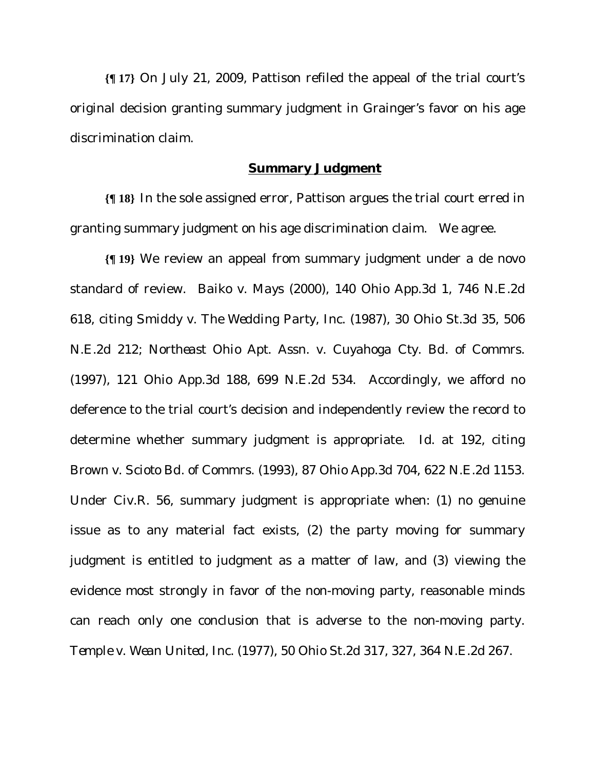**{¶ 17}** On July 21, 2009, Pattison refiled the appeal of the trial court's original decision granting summary judgment in Grainger's favor on his age discrimination claim.

#### **Summary Judgment**

**{¶ 18}** In the sole assigned error, Pattison argues the trial court erred in granting summary judgment on his age discrimination claim. We agree.

**{¶ 19}** We review an appeal from summary judgment under a de novo standard of review. *Baiko v. Mays* (2000), 140 Ohio App.3d 1, 746 N.E.2d 618, citing *Smiddy v. The Wedding Party, Inc.* (1987), 30 Ohio St.3d 35, 506 N.E.2d 212; *Northeast Ohio Apt. Assn. v. Cuyahoga Cty. Bd. of Commrs.* (1997), 121 Ohio App.3d 188, 699 N.E.2d 534. Accordingly, we afford no deference to the trial court's decision and independently review the record to determine whether summary judgment is appropriate. Id. at 192, citing *Brown v. Scioto Bd. of Commrs.* (1993), 87 Ohio App.3d 704, 622 N.E.2d 1153. Under Civ.R. 56, summary judgment is appropriate when: (1) no genuine issue as to any material fact exists, (2) the party moving for summary judgment is entitled to judgment as a matter of law, and (3) viewing the evidence most strongly in favor of the non-moving party, reasonable minds can reach only one conclusion that is adverse to the non-moving party. *Temple v. Wean United, Inc.* (1977), 50 Ohio St.2d 317, 327, 364 N.E.2d 267.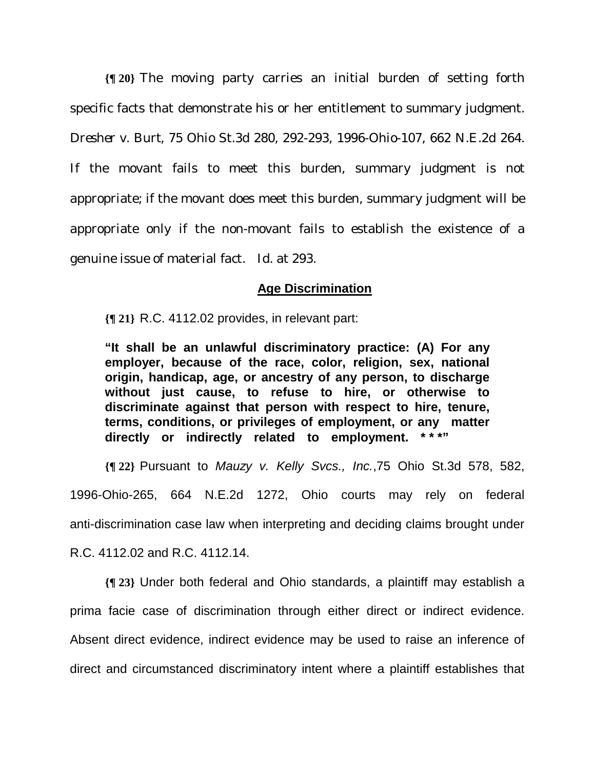**{¶ 20}** The moving party carries an initial burden of setting forth specific facts that demonstrate his or her entitlement to summary judgment. *Dresher v. Burt*, 75 Ohio St.3d 280, 292-293, 1996-Ohio-107, 662 N.E.2d 264. If the movant fails to meet this burden, summary judgment is not appropriate; if the movant does meet this burden, summary judgment will be appropriate only if the non-movant fails to establish the existence of a genuine issue of material fact. Id. at 293.

#### **Age Discrimination**

**{¶ 21}** R.C. 4112.02 provides, in relevant part:

**"It shall be an unlawful discriminatory practice: (A) For any employer, because of the race, color, religion, sex, national origin, handicap, age, or ancestry of any person, to discharge without just cause, to refuse to hire, or otherwise to discriminate against that person with respect to hire, tenure, terms, conditions, or privileges of employment, or any matter directly or indirectly related to employment. \* \* \*"** 

**{¶ 22}** Pursuant to *Mauzy v. Kelly Svcs., Inc.*,75 Ohio St.3d 578, 582, 1996-Ohio-265, 664 N.E.2d 1272, Ohio courts may rely on federal anti-discrimination case law when interpreting and deciding claims brought under R.C. 4112.02 and R.C. 4112.14.

**{¶ 23}** Under both federal and Ohio standards, a plaintiff may establish a prima facie case of discrimination through either direct or indirect evidence. Absent direct evidence, indirect evidence may be used to raise an inference of direct and circumstanced discriminatory intent where a plaintiff establishes that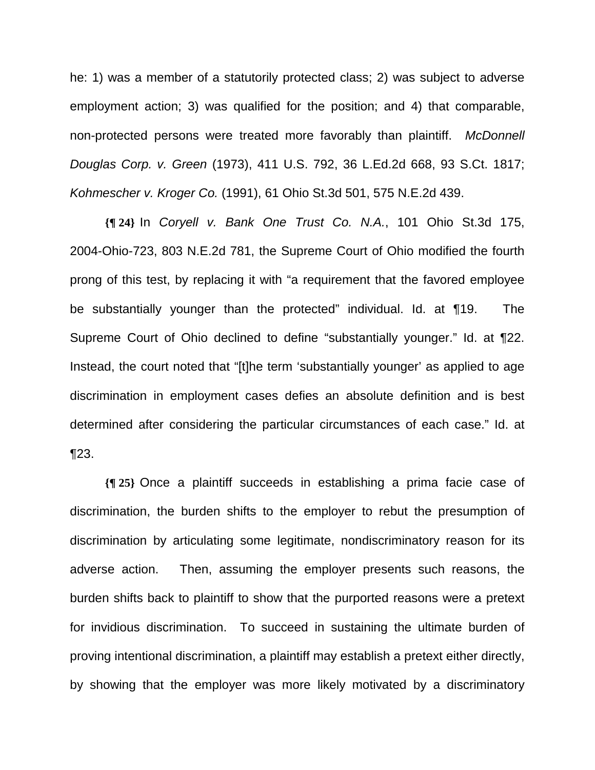he: 1) was a member of a statutorily protected class; 2) was subject to adverse employment action; 3) was qualified for the position; and 4) that comparable, non-protected persons were treated more favorably than plaintiff. *McDonnell Douglas Corp. v. Green* (1973), 411 U.S. 792, 36 L.Ed.2d 668, 93 S.Ct. 1817; *Kohmescher v. Kroger Co.* (1991), 61 Ohio St.3d 501, 575 N.E.2d 439.

**{¶ 24}** In *Coryell v. Bank One Trust Co. N.A.*, 101 Ohio St.3d 175, 2004-Ohio-723, 803 N.E.2d 781, the Supreme Court of Ohio modified the fourth prong of this test, by replacing it with "a requirement that the favored employee be substantially younger than the protected" individual. Id. at ¶19. The Supreme Court of Ohio declined to define "substantially younger." Id. at ¶22. Instead, the court noted that "[t]he term 'substantially younger' as applied to age discrimination in employment cases defies an absolute definition and is best determined after considering the particular circumstances of each case." Id. at ¶23.

**{¶ 25}** Once a plaintiff succeeds in establishing a prima facie case of discrimination, the burden shifts to the employer to rebut the presumption of discrimination by articulating some legitimate, nondiscriminatory reason for its adverse action. Then, assuming the employer presents such reasons, the burden shifts back to plaintiff to show that the purported reasons were a pretext for invidious discrimination. To succeed in sustaining the ultimate burden of proving intentional discrimination, a plaintiff may establish a pretext either directly, by showing that the employer was more likely motivated by a discriminatory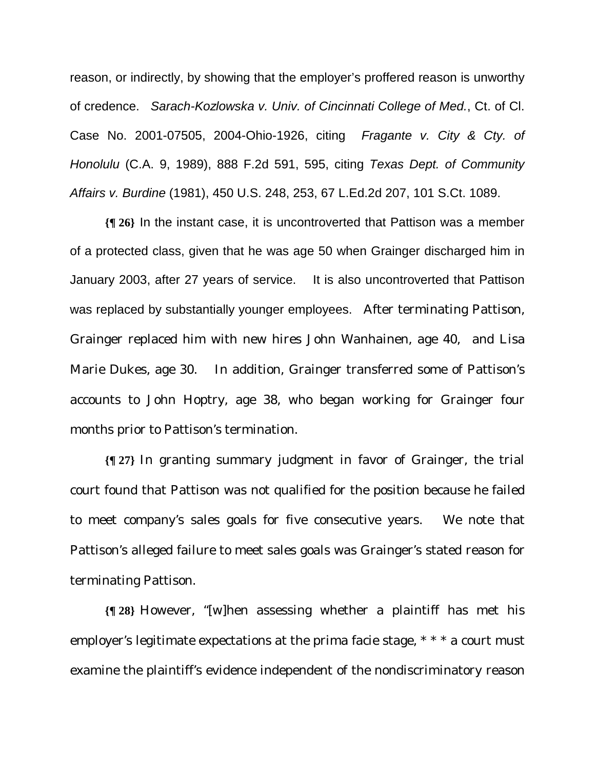reason, or indirectly, by showing that the employer's proffered reason is unworthy of credence. *Sarach-Kozlowska v. Univ. of Cincinnati College of Med.*, Ct. of Cl. Case No. 2001-07505, 2004-Ohio-1926, citing *Fragante v. City & Cty. of Honolulu* (C.A. 9, 1989), 888 F.2d 591, 595, citing *Texas Dept. of Community Affairs v. Burdine* (1981), 450 U.S. 248, 253, 67 L.Ed.2d 207, 101 S.Ct. 1089.

**{¶ 26}** In the instant case, it is uncontroverted that Pattison was a member of a protected class, given that he was age 50 when Grainger discharged him in January 2003, after 27 years of service. It is also uncontroverted that Pattison was replaced by substantially younger employees. After terminating Pattison, Grainger replaced him with new hires John Wanhainen, age 40, and Lisa Marie Dukes, age 30. In addition, Grainger transferred some of Pattison's accounts to John Hoptry, age 38, who began working for Grainger four months prior to Pattison's termination.

**{¶ 27}** In granting summary judgment in favor of Grainger, the trial court found that Pattison was not qualified for the position because he failed to meet company's sales goals for five consecutive years. We note that Pattison's alleged failure to meet sales goals was Grainger's stated reason for terminating Pattison.

**{¶ 28}** However, "[w]hen assessing whether a plaintiff has met his employer's legitimate expectations at the prima facie stage,  $* * * a$  court must examine the plaintiff's evidence independent of the nondiscriminatory reason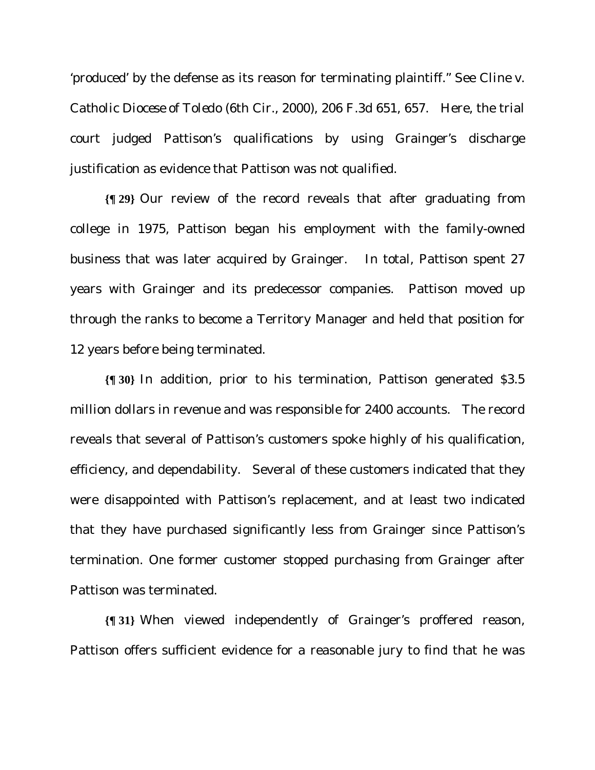'produced' by the defense as its reason for terminating plaintiff." See *Cline v. Catholic Diocese of Toledo* (6th Cir., 2000), 206 F.3d 651, 657. Here, the trial court judged Pattison's qualifications by using Grainger's discharge justification as evidence that Pattison was not qualified.

**{¶ 29}** Our review of the record reveals that after graduating from college in 1975, Pattison began his employment with the family-owned business that was later acquired by Grainger. In total, Pattison spent 27 years with Grainger and its predecessor companies. Pattison moved up through the ranks to become a Territory Manager and held that position for 12 years before being terminated.

**{¶ 30}** In addition, prior to his termination, Pattison generated \$3.5 million dollars in revenue and was responsible for 2400 accounts. The record reveals that several of Pattison's customers spoke highly of his qualification, efficiency, and dependability. Several of these customers indicated that they were disappointed with Pattison's replacement, and at least two indicated that they have purchased significantly less from Grainger since Pattison's termination. One former customer stopped purchasing from Grainger after Pattison was terminated.

**{¶ 31}** When viewed independently of Grainger's proffered reason, Pattison offers sufficient evidence for a reasonable jury to find that he was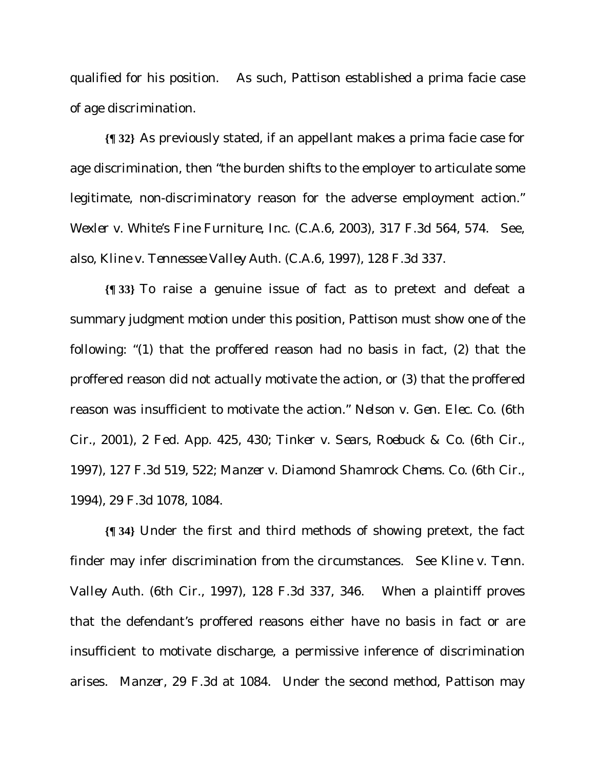qualified for his position. As such, Pattison established a prima facie case of age discrimination.

**{¶ 32}** As previously stated, if an appellant makes a prima facie case for age discrimination, then "the burden shifts to the employer to articulate some legitimate, non-discriminatory reason for the adverse employment action." *Wexler v. White's Fine Furniture, Inc.* (C.A.6, 2003), 317 F.3d 564, 574. See, also, *Kline v. Tennessee Valley Auth.* (C.A.6, 1997), 128 F.3d 337.

**{¶ 33}** To raise a genuine issue of fact as to pretext and defeat a summary judgment motion under this position, Pattison must show one of the following: "(1) that the proffered reason had no basis in fact, (2) that the proffered reason did not actually motivate the action, or (3) that the proffered reason was insufficient to motivate the action." *Nelson v. Gen. Elec. Co.* (6th Cir., 2001), 2 Fed. App. 425, 430; *Tinker v. Sears, Roebuck & Co.* (6th Cir., 1997), 127 F.3d 519, 522; *Manzer v. Diamond Shamrock Chems. Co.* (6th Cir., 1994), 29 F.3d 1078, 1084.

**{¶ 34}** Under the first and third methods of showing pretext, the fact finder may infer discrimination from the circumstances. See *Kline v. Tenn. Valley Auth.* (6th Cir., 1997)*,* 128 F.3d 337, 346. When a plaintiff proves that the defendant's proffered reasons either have no basis in fact or are insufficient to motivate discharge, a permissive inference of discrimination arises. *Manzer*, 29 F.3d at 1084. Under the second method, Pattison may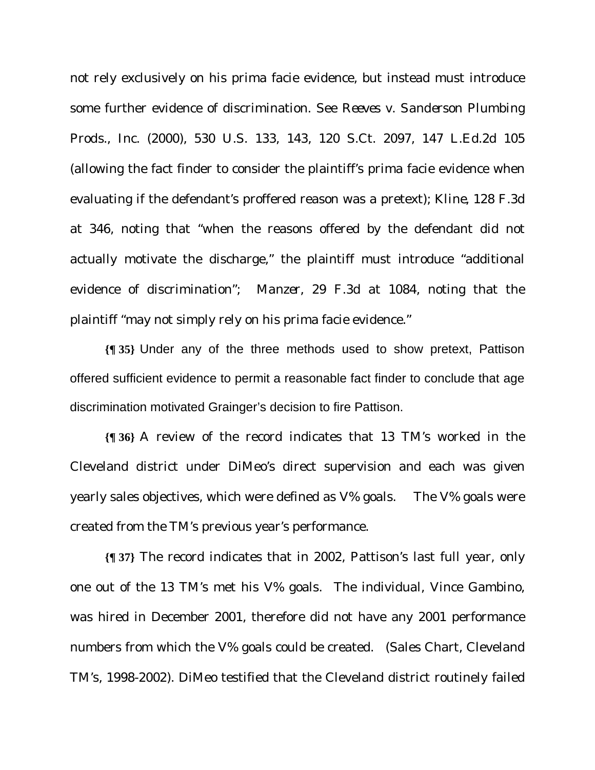not rely exclusively on his prima facie evidence, but instead must introduce some further evidence of discrimination. See *Reeves v. Sanderson Plumbing Prods., Inc.* (2000)*,* 530 U.S. 133, 143, 120 S.Ct. 2097, 147 L.Ed.2d 105 (allowing the fact finder to consider the plaintiff's prima facie evidence when evaluating if the defendant's proffered reason was a pretext); *Kline*, 128 F.3d at 346, noting that "when the reasons offered by the defendant did not actually motivate the discharge," the plaintiff must introduce "additional evidence of discrimination"; *Manzer*, 29 F.3d at 1084, noting that the plaintiff "may not simply rely on his prima facie evidence."

**{¶ 35}** Under any of the three methods used to show pretext, Pattison offered sufficient evidence to permit a reasonable fact finder to conclude that age discrimination motivated Grainger's decision to fire Pattison.

**{¶ 36}** A review of the record indicates that 13 TM's worked in the Cleveland district under DiMeo's direct supervision and each was given yearly sales objectives, which were defined as V% goals. The V% goals were created from the TM's previous year's performance.

**{¶ 37}** The record indicates that in 2002, Pattison's last full year, only one out of the 13 TM's met his V% goals. The individual, Vince Gambino, was hired in December 2001, therefore did not have any 2001 performance numbers from which the V% goals could be created. (Sales Chart, Cleveland TM's, 1998-2002). DiMeo testified that the Cleveland district routinely failed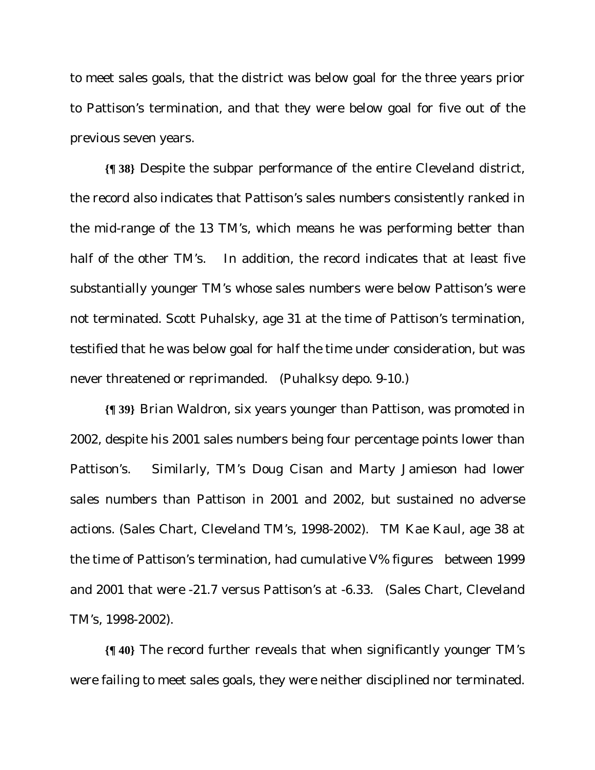to meet sales goals, that the district was below goal for the three years prior to Pattison's termination, and that they were below goal for five out of the previous seven years.

**{¶ 38}** Despite the subpar performance of the entire Cleveland district, the record also indicates that Pattison's sales numbers consistently ranked in the mid-range of the 13 TM's, which means he was performing better than half of the other TM's. In addition, the record indicates that at least five substantially younger TM's whose sales numbers were below Pattison's were not terminated. Scott Puhalsky, age 31 at the time of Pattison's termination, testified that he was below goal for half the time under consideration, but was never threatened or reprimanded. (Puhalksy depo. 9-10.)

**{¶ 39}** Brian Waldron, six years younger than Pattison, was promoted in 2002, despite his 2001 sales numbers being four percentage points lower than Pattison's. Similarly, TM's Doug Cisan and Marty Jamieson had lower sales numbers than Pattison in 2001 and 2002, but sustained no adverse actions. (Sales Chart, Cleveland TM's, 1998-2002). TM Kae Kaul, age 38 at the time of Pattison's termination, had cumulative V% figures between 1999 and 2001 that were -21.7 versus Pattison's at -6.33. (Sales Chart, Cleveland TM's, 1998-2002).

**{¶ 40}** The record further reveals that when significantly younger TM's were failing to meet sales goals, they were neither disciplined nor terminated.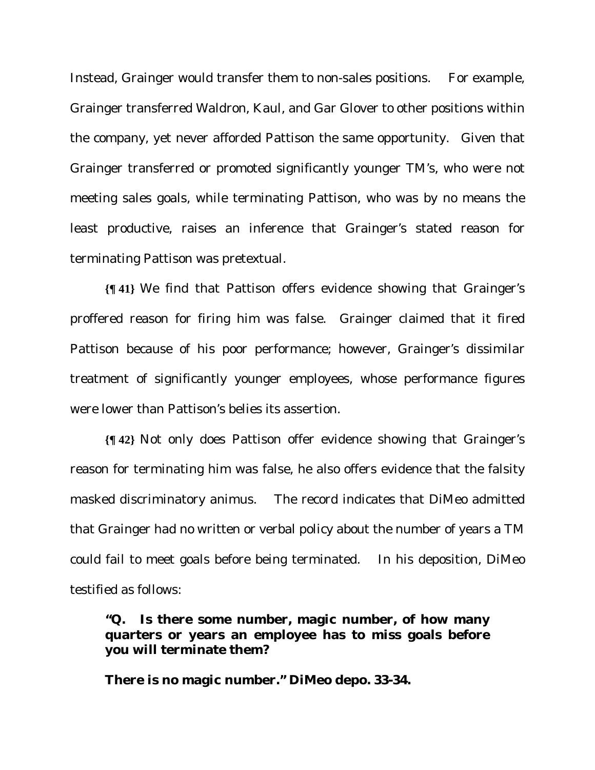Instead, Grainger would transfer them to non-sales positions. For example, Grainger transferred Waldron, Kaul, and Gar Glover to other positions within the company, yet never afforded Pattison the same opportunity. Given that Grainger transferred or promoted significantly younger TM's, who were not meeting sales goals, while terminating Pattison, who was by no means the least productive, raises an inference that Grainger's stated reason for terminating Pattison was pretextual.

**{¶ 41}** We find that Pattison offers evidence showing that Grainger's proffered reason for firing him was false. Grainger claimed that it fired Pattison because of his poor performance; however, Grainger's dissimilar treatment of significantly younger employees, whose performance figures were lower than Pattison's belies its assertion.

**{¶ 42}** Not only does Pattison offer evidence showing that Grainger's reason for terminating him was false, he also offers evidence that the falsity masked discriminatory animus. The record indicates that DiMeo admitted that Grainger had no written or verbal policy about the number of years a TM could fail to meet goals before being terminated. In his deposition, DiMeo testified as follows:

**"Q. Is there some number, magic number, of how many quarters or years an employee has to miss goals before you will terminate them?** 

**There is no magic number." DiMeo depo. 33-34.**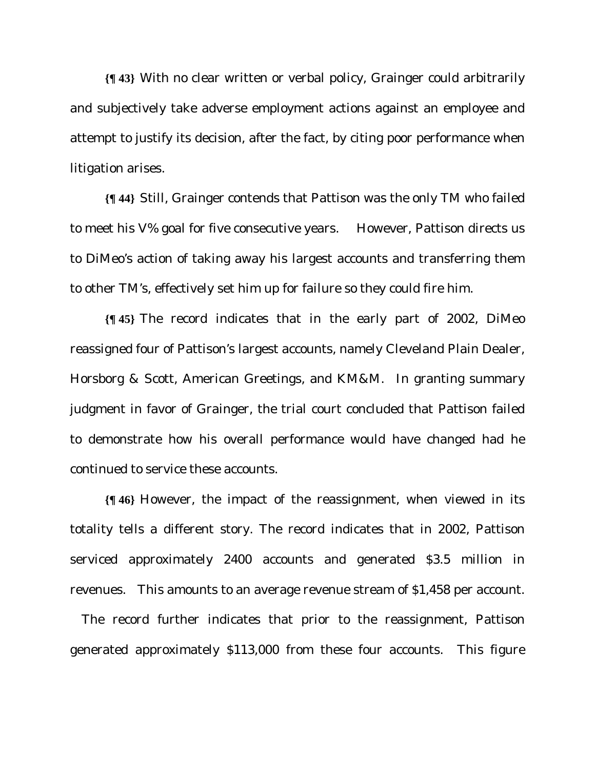**{¶ 43}** With no clear written or verbal policy, Grainger could arbitrarily and subjectively take adverse employment actions against an employee and attempt to justify its decision, after the fact, by citing poor performance when litigation arises.

**{¶ 44}** Still, Grainger contends that Pattison was the only TM who failed to meet his V% goal for five consecutive years. However, Pattison directs us to DiMeo's action of taking away his largest accounts and transferring them to other TM's, effectively set him up for failure so they could fire him.

**{¶ 45}** The record indicates that in the early part of 2002, DiMeo reassigned four of Pattison's largest accounts, namely Cleveland Plain Dealer, Horsborg & Scott, American Greetings, and KM&M. In granting summary judgment in favor of Grainger, the trial court concluded that Pattison failed to demonstrate how his overall performance would have changed had he continued to service these accounts.

**{¶ 46}** However, the impact of the reassignment, when viewed in its totality tells a different story. The record indicates that in 2002, Pattison serviced approximately 2400 accounts and generated \$3.5 million in revenues. This amounts to an average revenue stream of \$1,458 per account.

 The record further indicates that prior to the reassignment, Pattison generated approximately \$113,000 from these four accounts. This figure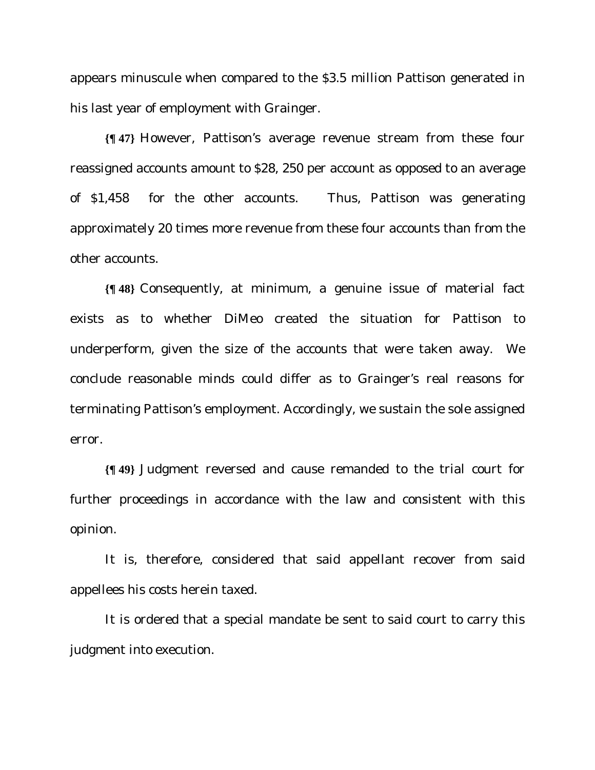appears minuscule when compared to the \$3.5 million Pattison generated in his last year of employment with Grainger.

**{¶ 47}** However, Pattison's average revenue stream from these four reassigned accounts amount to \$28, 250 per account as opposed to an average of \$1,458 for the other accounts. Thus, Pattison was generating approximately 20 times more revenue from these four accounts than from the other accounts.

**{¶ 48}** Consequently, at minimum, a genuine issue of material fact exists as to whether DiMeo created the situation for Pattison to underperform, given the size of the accounts that were taken away. We conclude reasonable minds could differ as to Grainger's real reasons for terminating Pattison's employment. Accordingly, we sustain the sole assigned error.

**{¶ 49}** Judgment reversed and cause remanded to the trial court for further proceedings in accordance with the law and consistent with this opinion.

It is, therefore, considered that said appellant recover from said appellees his costs herein taxed.

It is ordered that a special mandate be sent to said court to carry this judgment into execution.